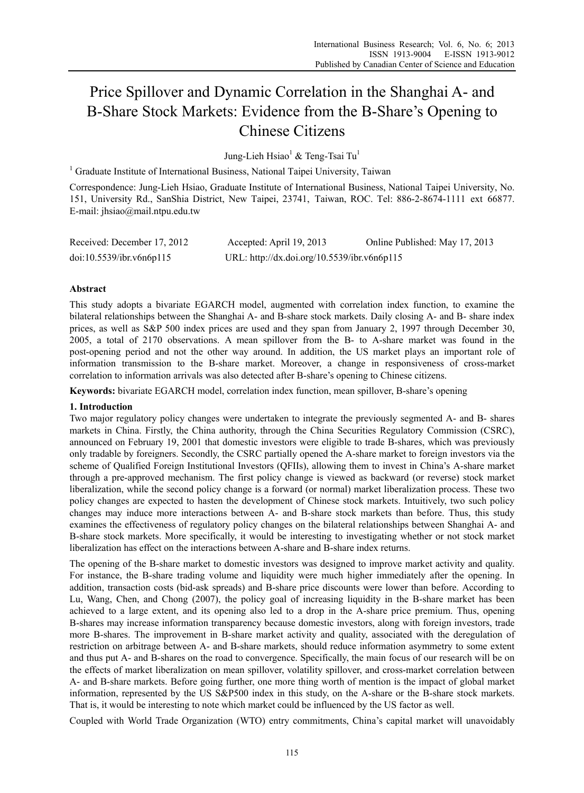# Price Spillover and Dynamic Correlation in the Shanghai A- and B-Share Stock Markets: Evidence from the B-Share's Opening to Chinese Citizens

Jung-Lieh Hsiao<sup>1</sup> & Teng-Tsai Tu<sup>1</sup>

<sup>1</sup> Graduate Institute of International Business, National Taipei University, Taiwan

Correspondence: Jung-Lieh Hsiao, Graduate Institute of International Business, National Taipei University, No. 151, University Rd., SanShia District, New Taipei, 23741, Taiwan, ROC. Tel: 886-2-8674-1111 ext 66877. E-mail: jhsiao@mail.ntpu.edu.tw

| Received: December 17, 2012 | Accepted: April 19, 2013                    | Online Published: May 17, 2013 |
|-----------------------------|---------------------------------------------|--------------------------------|
| doi:10.5539/ibr.v6n6p115    | URL: http://dx.doi.org/10.5539/ibr.v6n6p115 |                                |

# **Abstract**

This study adopts a bivariate EGARCH model, augmented with correlation index function, to examine the bilateral relationships between the Shanghai A- and B-share stock markets. Daily closing A- and B- share index prices, as well as S&P 500 index prices are used and they span from January 2, 1997 through December 30, 2005, a total of 2170 observations. A mean spillover from the B- to A-share market was found in the post-opening period and not the other way around. In addition, the US market plays an important role of information transmission to the B-share market. Moreover, a change in responsiveness of cross-market correlation to information arrivals was also detected after B-share's opening to Chinese citizens.

**Keywords:** bivariate EGARCH model, correlation index function, mean spillover, B-share's opening

## **1. Introduction**

Two major regulatory policy changes were undertaken to integrate the previously segmented A- and B- shares markets in China. Firstly, the China authority, through the China Securities Regulatory Commission (CSRC), announced on February 19, 2001 that domestic investors were eligible to trade B-shares, which was previously only tradable by foreigners. Secondly, the CSRC partially opened the A-share market to foreign investors via the scheme of Qualified Foreign Institutional Investors (QFIIs), allowing them to invest in China's A-share market through a pre-approved mechanism. The first policy change is viewed as backward (or reverse) stock market liberalization, while the second policy change is a forward (or normal) market liberalization process. These two policy changes are expected to hasten the development of Chinese stock markets. Intuitively, two such policy changes may induce more interactions between A- and B-share stock markets than before. Thus, this study examines the effectiveness of regulatory policy changes on the bilateral relationships between Shanghai A- and B-share stock markets. More specifically, it would be interesting to investigating whether or not stock market liberalization has effect on the interactions between A-share and B-share index returns.

The opening of the B-share market to domestic investors was designed to improve market activity and quality. For instance, the B-share trading volume and liquidity were much higher immediately after the opening. In addition, transaction costs (bid-ask spreads) and B-share price discounts were lower than before. According to Lu, Wang, Chen, and Chong (2007), the policy goal of increasing liquidity in the B-share market has been achieved to a large extent, and its opening also led to a drop in the A-share price premium. Thus, opening B-shares may increase information transparency because domestic investors, along with foreign investors, trade more B-shares. The improvement in B-share market activity and quality, associated with the deregulation of restriction on arbitrage between A- and B-share markets, should reduce information asymmetry to some extent and thus put A- and B-shares on the road to convergence. Specifically, the main focus of our research will be on the effects of market liberalization on mean spillover, volatility spillover, and cross-market correlation between A- and B-share markets. Before going further, one more thing worth of mention is the impact of global market information, represented by the US S&P500 index in this study, on the A-share or the B-share stock markets. That is, it would be interesting to note which market could be influenced by the US factor as well.

Coupled with World Trade Organization (WTO) entry commitments, China's capital market will unavoidably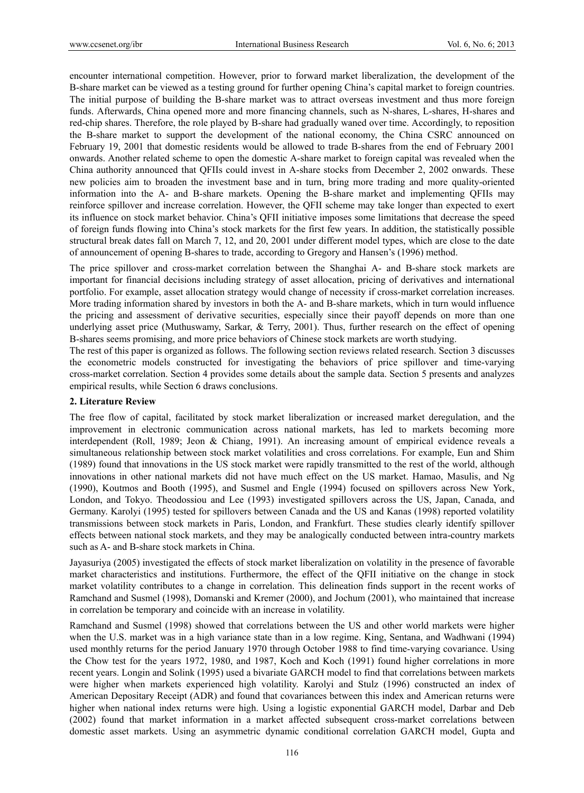encounter international competition. However, prior to forward market liberalization, the development of the B-share market can be viewed as a testing ground for further opening China's capital market to foreign countries. The initial purpose of building the B-share market was to attract overseas investment and thus more foreign funds. Afterwards, China opened more and more financing channels, such as N-shares, L-shares, H-shares and red-chip shares. Therefore, the role played by B-share had gradually waned over time. Accordingly, to reposition the B-share market to support the development of the national economy, the China CSRC announced on February 19, 2001 that domestic residents would be allowed to trade B-shares from the end of February 2001 onwards. Another related scheme to open the domestic A-share market to foreign capital was revealed when the China authority announced that QFIIs could invest in A-share stocks from December 2, 2002 onwards. These new policies aim to broaden the investment base and in turn, bring more trading and more quality-oriented information into the A- and B-share markets. Opening the B-share market and implementing QFIIs may reinforce spillover and increase correlation. However, the QFII scheme may take longer than expected to exert its influence on stock market behavior. China's QFII initiative imposes some limitations that decrease the speed of foreign funds flowing into China's stock markets for the first few years. In addition, the statistically possible structural break dates fall on March 7, 12, and 20, 2001 under different model types, which are close to the date of announcement of opening B-shares to trade, according to Gregory and Hansen's (1996) method.

The price spillover and cross-market correlation between the Shanghai A- and B-share stock markets are important for financial decisions including strategy of asset allocation, pricing of derivatives and international portfolio. For example, asset allocation strategy would change of necessity if cross-market correlation increases. More trading information shared by investors in both the A- and B-share markets, which in turn would influence the pricing and assessment of derivative securities, especially since their payoff depends on more than one underlying asset price (Muthuswamy, Sarkar, & Terry, 2001). Thus, further research on the effect of opening B-shares seems promising, and more price behaviors of Chinese stock markets are worth studying.

The rest of this paper is organized as follows. The following section reviews related research. Section 3 discusses the econometric models constructed for investigating the behaviors of price spillover and time-varying cross-market correlation. Section 4 provides some details about the sample data. Section 5 presents and analyzes empirical results, while Section 6 draws conclusions.

# **2. Literature Review**

The free flow of capital, facilitated by stock market liberalization or increased market deregulation, and the improvement in electronic communication across national markets, has led to markets becoming more interdependent (Roll, 1989; Jeon & Chiang, 1991). An increasing amount of empirical evidence reveals a simultaneous relationship between stock market volatilities and cross correlations. For example, Eun and Shim (1989) found that innovations in the US stock market were rapidly transmitted to the rest of the world, although innovations in other national markets did not have much effect on the US market. Hamao, Masulis, and Ng (1990), Koutmos and Booth (1995), and Susmel and Engle (1994) focused on spillovers across New York, London, and Tokyo. Theodossiou and Lee (1993) investigated spillovers across the US, Japan, Canada, and Germany. Karolyi (1995) tested for spillovers between Canada and the US and Kanas (1998) reported volatility transmissions between stock markets in Paris, London, and Frankfurt. These studies clearly identify spillover effects between national stock markets, and they may be analogically conducted between intra-country markets such as A- and B-share stock markets in China.

Jayasuriya (2005) investigated the effects of stock market liberalization on volatility in the presence of favorable market characteristics and institutions. Furthermore, the effect of the QFII initiative on the change in stock market volatility contributes to a change in correlation. This delineation finds support in the recent works of Ramchand and Susmel (1998), Domanski and Kremer (2000), and Jochum (2001), who maintained that increase in correlation be temporary and coincide with an increase in volatility.

Ramchand and Susmel (1998) showed that correlations between the US and other world markets were higher when the U.S. market was in a high variance state than in a low regime. King, Sentana, and Wadhwani (1994) used monthly returns for the period January 1970 through October 1988 to find time-varying covariance. Using the Chow test for the years 1972, 1980, and 1987, Koch and Koch (1991) found higher correlations in more recent years. Longin and Solink (1995) used a bivariate GARCH model to find that correlations between markets were higher when markets experienced high volatility. Karolyi and Stulz (1996) constructed an index of American Depositary Receipt (ADR) and found that covariances between this index and American returns were higher when national index returns were high. Using a logistic exponential GARCH model, Darbar and Deb (2002) found that market information in a market affected subsequent cross-market correlations between domestic asset markets. Using an asymmetric dynamic conditional correlation GARCH model, Gupta and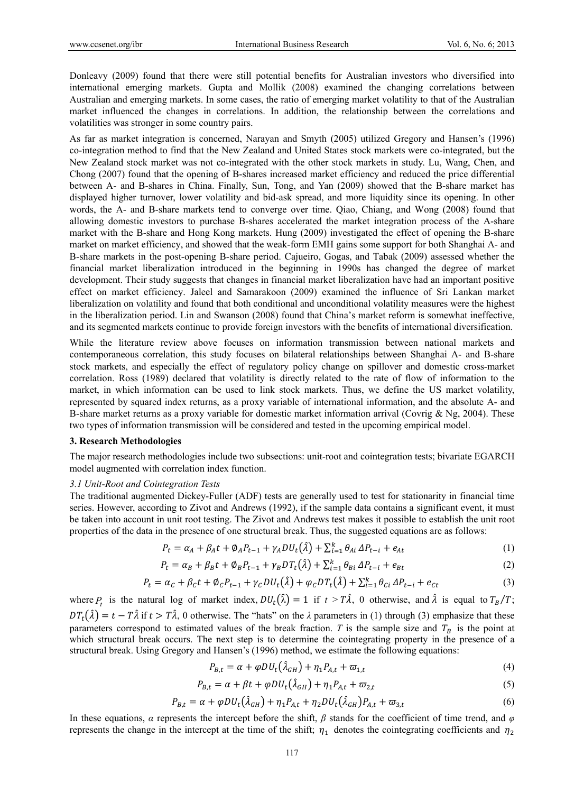Donleavy (2009) found that there were still potential benefits for Australian investors who diversified into international emerging markets. Gupta and Mollik (2008) examined the changing correlations between Australian and emerging markets. In some cases, the ratio of emerging market volatility to that of the Australian market influenced the changes in correlations. In addition, the relationship between the correlations and volatilities was stronger in some country pairs.

As far as market integration is concerned, Narayan and Smyth (2005) utilized Gregory and Hansen's (1996) co-integration method to find that the New Zealand and United States stock markets were co-integrated, but the New Zealand stock market was not co-integrated with the other stock markets in study. Lu, Wang, Chen, and Chong (2007) found that the opening of B-shares increased market efficiency and reduced the price differential between A- and B-shares in China. Finally, Sun, Tong, and Yan (2009) showed that the B-share market has displayed higher turnover, lower volatility and bid-ask spread, and more liquidity since its opening. In other words, the A- and B-share markets tend to converge over time. Qiao, Chiang, and Wong (2008) found that allowing domestic investors to purchase B-shares accelerated the market integration process of the A-share market with the B-share and Hong Kong markets. Hung (2009) investigated the effect of opening the B-share market on market efficiency, and showed that the weak-form EMH gains some support for both Shanghai A- and B-share markets in the post-opening B-share period. Cajueiro, Gogas, and Tabak (2009) assessed whether the financial market liberalization introduced in the beginning in 1990s has changed the degree of market development. Their study suggests that changes in financial market liberalization have had an important positive effect on market efficiency. Jaleel and Samarakoon (2009) examined the influence of Sri Lankan market liberalization on volatility and found that both conditional and unconditional volatility measures were the highest in the liberalization period. Lin and Swanson (2008) found that China's market reform is somewhat ineffective, and its segmented markets continue to provide foreign investors with the benefits of international diversification.

While the literature review above focuses on information transmission between national markets and contemporaneous correlation, this study focuses on bilateral relationships between Shanghai A- and B-share stock markets, and especially the effect of regulatory policy change on spillover and domestic cross-market correlation. Ross (1989) declared that volatility is directly related to the rate of flow of information to the market, in which information can be used to link stock markets. Thus, we define the US market volatility, represented by squared index returns, as a proxy variable of international information, and the absolute A- and B-share market returns as a proxy variable for domestic market information arrival (Covrig & Ng, 2004). These two types of information transmission will be considered and tested in the upcoming empirical model.

#### **3. Research Methodologies**

The major research methodologies include two subsections: unit-root and cointegration tests; bivariate EGARCH model augmented with correlation index function.

#### *3.1 Unit-Root and Cointegration Tests*

The traditional augmented Dickey-Fuller (ADF) tests are generally used to test for stationarity in financial time series. However, according to Zivot and Andrews (1992), if the sample data contains a significant event, it must be taken into account in unit root testing. The Zivot and Andrews test makes it possible to establish the unit root properties of the data in the presence of one structural break. Thus, the suggested equations are as follows:

$$
P_{t} = \alpha_{A} + \beta_{A}t + \phi_{A}P_{t-1} + \gamma_{A}DU_{t}(\hat{\lambda}) + \sum_{i=1}^{k} \theta_{Ai} \Delta P_{t-i} + e_{At}
$$
(1)

$$
P_{t} = \alpha_{B} + \beta_{B}t + \emptyset_{B}P_{t-1} + \gamma_{B}DT_{t}(\hat{\lambda}) + \sum_{i=1}^{k} \theta_{Bi} \Delta P_{t-i} + e_{Bt}
$$
 (2)

$$
P_t = \alpha_C + \beta_C t + \phi_C P_{t-1} + \gamma_C D U_t(\hat{\lambda}) + \varphi_C D T_t(\hat{\lambda}) + \sum_{i=1}^k \theta_{Ci} \Delta P_{t-i} + e_{Ct}
$$
(3)

where *P<sub>t</sub>* is the natural log of market index,  $DU_t(\hat{\lambda}) = 1$  if  $t > T\hat{\lambda}$ , 0 otherwise, and  $\hat{\lambda}$  is equal to  $T_B/T$ ;  $DT_t(\hat{\lambda}) = t - T\hat{\lambda}$  if  $t > T\hat{\lambda}$ , 0 otherwise. The "hats" on the  $\lambda$  parameters in (1) through (3) emphasize that these parameters correspond to estimated values of the break fraction. *T* is the sample size and  $T_R$  is the point at which structural break occurs. The next step is to determine the cointegrating property in the presence of a structural break. Using Gregory and Hansen's (1996) method, we estimate the following equations:

$$
P_{B,t} = \alpha + \varphi DU_t(\hat{\lambda}_{GH}) + \eta_1 P_{A,t} + \varpi_{1,t}
$$
\n<sup>(4)</sup>

$$
P_{B,t} = \alpha + \beta t + \varphi DU_t(\hat{\lambda}_{GH}) + \eta_1 P_{A,t} + \varpi_{2,t}
$$
\n<sup>(5)</sup>

$$
P_{B,t} = \alpha + \varphi DU_t(\hat{\lambda}_{GH}) + \eta_1 P_{A,t} + \eta_2 DU_t(\hat{\lambda}_{GH})P_{A,t} + \varpi_{3,t}
$$
(6)

In these equations, *α* represents the intercept before the shift,  $\beta$  stands for the coefficient of time trend, and  $\varphi$ represents the change in the intercept at the time of the shift;  $\eta_1$  denotes the cointegrating coefficients and  $\eta_2$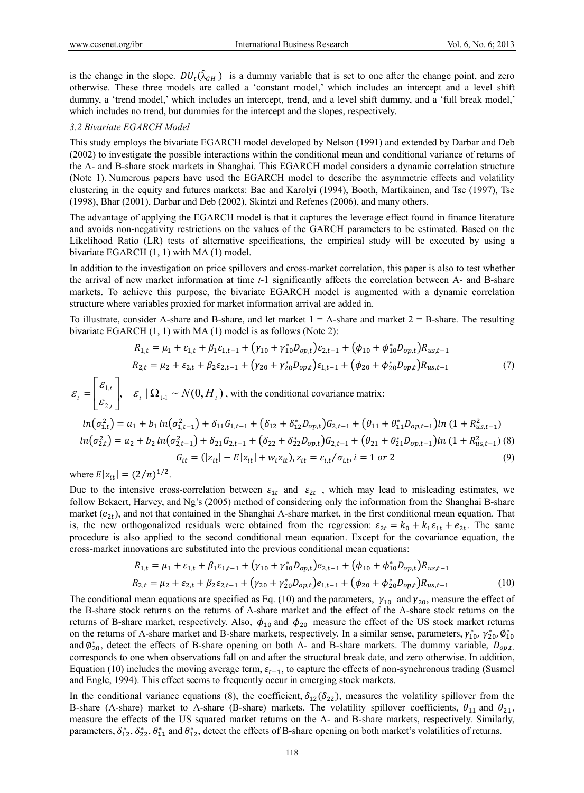is the change in the slope.  $DU_t(\hat{\lambda}_{GH})$  is a dummy variable that is set to one after the change point, and zero otherwise. These three models are called a 'constant model,' which includes an intercept and a level shift dummy, a 'trend model,' which includes an intercept, trend, and a level shift dummy, and a 'full break model,' which includes no trend, but dummies for the intercept and the slopes, respectively.

#### *3.2 Bivariate EGARCH Model*

This study employs the bivariate EGARCH model developed by Nelson (1991) and extended by Darbar and Deb (2002) to investigate the possible interactions within the conditional mean and conditional variance of returns of the A- and B-share stock markets in Shanghai. This EGARCH model considers a dynamic correlation structure (Note 1). Numerous papers have used the EGARCH model to describe the asymmetric effects and volatility clustering in the equity and futures markets: Bae and Karolyi (1994), Booth, Martikainen, and Tse (1997), Tse (1998), Bhar (2001), Darbar and Deb (2002), Skintzi and Refenes (2006), and many others.

The advantage of applying the EGARCH model is that it captures the leverage effect found in finance literature and avoids non-negativity restrictions on the values of the GARCH parameters to be estimated. Based on the Likelihood Ratio (LR) tests of alternative specifications, the empirical study will be executed by using a bivariate EGARCH (1, 1) with MA (1) model.

In addition to the investigation on price spillovers and cross-market correlation, this paper is also to test whether the arrival of new market information at time *t*-1 significantly affects the correlation between A- and B-share markets. To achieve this purpose, the bivariate EGARCH model is augmented with a dynamic correlation structure where variables proxied for market information arrival are added in.

To illustrate, consider A-share and B-share, and let market  $1 = A$ -share and market  $2 = B$ -share. The resulting bivariate EGARCH (1, 1) with MA (1) model is as follows (Note 2):

$$
R_{1,t} = \mu_1 + \varepsilon_{1,t} + \beta_1 \varepsilon_{1,t-1} + (\gamma_{10} + \gamma_{10}^* D_{opt}) \varepsilon_{2,t-1} + (\phi_{10} + \phi_{10}^* D_{opt}) R_{us,t-1}
$$
  
\n
$$
R_{2,t} = \mu_2 + \varepsilon_{2,t} + \beta_2 \varepsilon_{2,t-1} + (\gamma_{20} + \gamma_{20}^* D_{opt}) \varepsilon_{1,t-1} + (\phi_{20} + \phi_{20}^* D_{opt}) R_{us,t-1}
$$
\n(7)

$$
\varepsilon_{t} = \begin{bmatrix} \varepsilon_{1,t} \\ \varepsilon_{2,t} \end{bmatrix}, \quad \varepsilon_{t} \mid \Omega_{t-1} \sim N(0, H_{t}),
$$
 with the conditional covariance matrix:  
\n
$$
\ln(\sigma_{1,t}^{2}) = a_{1} + b_{1} \ln(\sigma_{1,t-1}^{2}) + \delta_{11} G_{1,t-1} + (\delta_{12} + \delta_{12}^{*} D_{opt}) G_{2,t-1} + (\theta_{11} + \theta_{11}^{*} D_{opt-1}) \ln (1 + R_{us,t-1}^{2})
$$
\n
$$
\ln(\sigma_{2,t}^{2}) = a_{2} + b_{2} \ln(\sigma_{2,t-1}^{2}) + \delta_{21} G_{2,t-1} + (\delta_{22} + \delta_{22}^{*} D_{opt}) G_{2,t-1} + (\theta_{21} + \theta_{21}^{*} D_{opt-1}) \ln (1 + R_{us,t-1}^{2})
$$
\n
$$
G_{it} = (|z_{it}| - E|z_{it}| + w_{i} z_{it}), z_{it} = \varepsilon_{i,t} / \sigma_{i,t}, i = 1 \text{ or } 2 \tag{9}
$$

where  $E|z_{it}| = (2/\pi)^{1/2}$ .

Due to the intensive cross-correlation between  $\varepsilon_{1t}$  and  $\varepsilon_{2t}$ , which may lead to misleading estimates, we follow Bekaert, Harvey, and Ng's (2005) method of considering only the information from the Shanghai B-share market ( $e_{2t}$ ), and not that contained in the Shanghai A-share market, in the first conditional mean equation. That is, the new orthogonalized residuals were obtained from the regression:  $\varepsilon_{2t} = k_0 + k_1 \varepsilon_{1t} + e_{2t}$ . The same procedure is also applied to the second conditional mean equation. Except for the covariance equation, the cross-market innovations are substituted into the previous conditional mean equations:

$$
R_{1,t} = \mu_1 + \varepsilon_{1,t} + \beta_1 \varepsilon_{1,t-1} + (\gamma_{10} + \gamma_{10}^* D_{opt}) e_{2,t-1} + (\phi_{10} + \phi_{10}^* D_{opt}) R_{us,t-1}
$$
  
\n
$$
R_{2,t} = \mu_2 + \varepsilon_{2,t} + \beta_2 \varepsilon_{2,t-1} + (\gamma_{20} + \gamma_{20}^* D_{opt}) e_{1,t-1} + (\phi_{20} + \phi_{20}^* D_{opt}) R_{us,t-1}
$$
\n(10)

The conditional mean equations are specified as Eq. (10) and the parameters,  $\gamma_{10}$  and  $\gamma_{20}$ , measure the effect of the B-share stock returns on the returns of A-share market and the effect of the A-share stock returns on the returns of B-share market, respectively. Also,  $\phi_{10}$  and  $\phi_{20}$  measure the effect of the US stock market returns on the returns of A-share market and B-share markets, respectively. In a similar sense, parameters,  $\gamma_{10}^*$ ,  $\gamma_{20}^*$ ,  $\phi_{10}^*$ and  $\varphi_{20}^*$ , detect the effects of B-share opening on both A- and B-share markets. The dummy variable,  $D_{opt,t}$ , corresponds to one when observations fall on and after the structural break date, and zero otherwise. In addition, Equation (10) includes the moving average term,  $\varepsilon_{t-1}$ , to capture the effects of non-synchronous trading (Susmel and Engle, 1994). This effect seems to frequently occur in emerging stock markets.

In the conditional variance equations (8), the coefficient,  $\delta_{12}(\delta_{22})$ , measures the volatility spillover from the B-share (A-share) market to A-share (B-share) markets. The volatility spillover coefficients,  $\theta_{11}$  and  $\theta_{21}$ , measure the effects of the US squared market returns on the A- and B-share markets, respectively. Similarly, parameters,  $\delta_{12}^*, \delta_{22}^*, \theta_{11}^*$  and  $\theta_{12}^*$ , detect the effects of B-share opening on both market's volatilities of returns.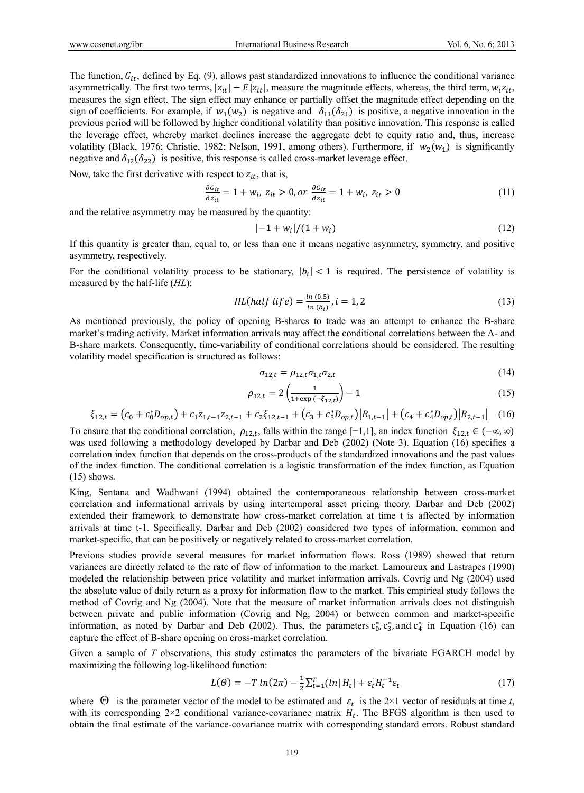The function,  $G_{it}$ , defined by Eq. (9), allows past standardized innovations to influence the conditional variance asymmetrically. The first two terms,  $|z_{it}| - E|z_{it}|$ , measure the magnitude effects, whereas, the third term,  $w_i z_{it}$ , measures the sign effect. The sign effect may enhance or partially offset the magnitude effect depending on the sign of coefficients. For example, if  $w_1(w_2)$  is negative and  $\delta_{11}(\delta_{21})$  is positive, a negative innovation in the previous period will be followed by higher conditional volatility than positive innovation. This response is called the leverage effect, whereby market declines increase the aggregate debt to equity ratio and, thus, increase volatility (Black, 1976; Christie, 1982; Nelson, 1991, among others). Furthermore, if  $w_2(w_1)$  is significantly negative and  $\delta_{12}(\delta_{22})$  is positive, this response is called cross-market leverage effect.

Now, take the first derivative with respect to  $z_{it}$ , that is,

$$
\frac{\partial G_{it}}{\partial z_{it}} = 1 + w_i, \ z_{it} > 0, \text{ or } \frac{\partial G_{it}}{\partial z_{it}} = 1 + w_i, \ z_{it} > 0 \tag{11}
$$

and the relative asymmetry may be measured by the quantity:

$$
|-1 + w_i|/(1 + w_i)
$$
 (12)

If this quantity is greater than, equal to, or less than one it means negative asymmetry, symmetry, and positive asymmetry, respectively.

For the conditional volatility process to be stationary,  $|b_i| < 1$  is required. The persistence of volatility is measured by the half-life (*HL*):

$$
HL(half \; life) = \frac{\ln (0.5)}{\ln (b_i)}, i = 1, 2 \tag{13}
$$

As mentioned previously, the policy of opening B-shares to trade was an attempt to enhance the B-share market's trading activity. Market information arrivals may affect the conditional correlations between the A- and B-share markets. Consequently, time-variability of conditional correlations should be considered. The resulting volatility model specification is structured as follows:

$$
\sigma_{12,t} = \rho_{12,t}\sigma_{1,t}\sigma_{2,t} \tag{14}
$$

$$
\rho_{12,t} = 2\left(\frac{1}{1 + \exp\left(-\xi_{12,t}\right)}\right) - 1\tag{15}
$$

$$
\xi_{12,t} = (c_0 + c_0^* D_{op,t}) + c_1 z_{1,t-1} z_{2,t-1} + c_2 \xi_{12,t-1} + (c_3 + c_3^* D_{op,t}) |R_{1,t-1}| + (c_4 + c_4^* D_{op,t}) |R_{2,t-1}| \tag{16}
$$

To ensure that the conditional correlation,  $\rho_{12,t}$ , falls within the range [-1,1], an index function  $\xi_{12,t} \in (-\infty, \infty)$ was used following a methodology developed by Darbar and Deb (2002) (Note 3). Equation (16) specifies a correlation index function that depends on the cross-products of the standardized innovations and the past values of the index function. The conditional correlation is a logistic transformation of the index function, as Equation  $(15)$  shows.

King, Sentana and Wadhwani (1994) obtained the contemporaneous relationship between cross-market correlation and informational arrivals by using intertemporal asset pricing theory. Darbar and Deb (2002) extended their framework to demonstrate how cross-market correlation at time t is affected by information arrivals at time t-1. Specifically, Darbar and Deb (2002) considered two types of information, common and market-specific, that can be positively or negatively related to cross-market correlation.

Previous studies provide several measures for market information flows. Ross (1989) showed that return variances are directly related to the rate of flow of information to the market. Lamoureux and Lastrapes (1990) modeled the relationship between price volatility and market information arrivals. Covrig and Ng (2004) used the absolute value of daily return as a proxy for information flow to the market. This empirical study follows the method of Covrig and Ng (2004). Note that the measure of market information arrivals does not distinguish between private and public information (Covrig and Ng, 2004) or between common and market-specific information, as noted by Darbar and Deb (2002). Thus, the parameters  $c_0^*$ ,  $c_3^*$ , and  $c_4^*$  in Equation (16) can capture the effect of B-share opening on cross-market correlation.

Given a sample of *T* observations, this study estimates the parameters of the bivariate EGARCH model by maximizing the following log-likelihood function:

$$
L(\theta) = -T \ln(2\pi) - \frac{1}{2} \sum_{t=1}^{T} (\ln |H_t| + \varepsilon_t |H_t^{-1} \varepsilon_t)
$$
 (17)

where  $\Theta$  is the parameter vector of the model to be estimated and  $\varepsilon_t$  is the 2×1 vector of residuals at time *t*, with its corresponding  $2\times 2$  conditional variance-covariance matrix  $H_t$ . The BFGS algorithm is then used to obtain the final estimate of the variance-covariance matrix with corresponding standard errors. Robust standard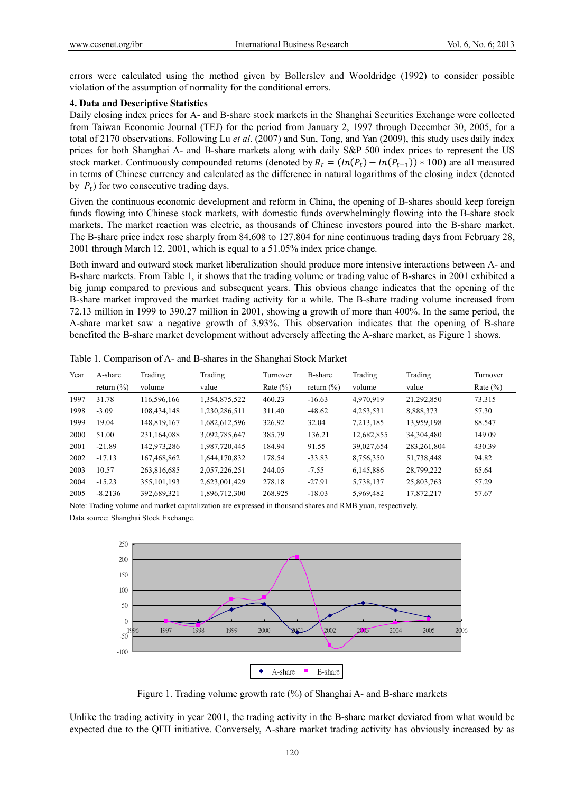errors were calculated using the method given by Bollerslev and Wooldridge (1992) to consider possible violation of the assumption of normality for the conditional errors.

#### **4. Data and Descriptive Statistics**

Daily closing index prices for A- and B-share stock markets in the Shanghai Securities Exchange were collected from Taiwan Economic Journal (TEJ) for the period from January 2, 1997 through December 30, 2005, for a total of 2170 observations. Following Lu *et al*. (2007) and Sun, Tong, and Yan (2009), this study uses daily index prices for both Shanghai A- and B-share markets along with daily S&P 500 index prices to represent the US stock market. Continuously compounded returns (denoted by  $R_t = (ln(P_t) - ln(P_{t-1})) * 100$ ) are all measured in terms of Chinese currency and calculated as the difference in natural logarithms of the closing index (denoted by  $P_t$ ) for two consecutive trading days.

Given the continuous economic development and reform in China, the opening of B-shares should keep foreign funds flowing into Chinese stock markets, with domestic funds overwhelmingly flowing into the B-share stock markets. The market reaction was electric, as thousands of Chinese investors poured into the B-share market. The B-share price index rose sharply from 84.608 to 127.804 for nine continuous trading days from February 28, 2001 through March 12, 2001, which is equal to a 51.05% index price change.

Both inward and outward stock market liberalization should produce more intensive interactions between A- and B-share markets. From Table 1, it shows that the trading volume or trading value of B-shares in 2001 exhibited a big jump compared to previous and subsequent years. This obvious change indicates that the opening of the B-share market improved the market trading activity for a while. The B-share trading volume increased from 72.13 million in 1999 to 390.27 million in 2001, showing a growth of more than 400%. In the same period, the A-share market saw a negative growth of 3.93%. This observation indicates that the opening of B-share benefited the B-share market development without adversely affecting the A-share market, as Figure 1 shows.

| Year | A-share        | Trading       | Trading       | Turnover     | B-share        | Trading    | Trading       | Turnover     |
|------|----------------|---------------|---------------|--------------|----------------|------------|---------------|--------------|
|      | return $(\% )$ | volume        | value         | Rate $(\% )$ | return $(\% )$ | volume     | value         | Rate $(\% )$ |
| 1997 | 31.78          | 116,596,166   | 1,354,875,522 | 460.23       | $-16.63$       | 4,970,919  | 21,292,850    | 73.315       |
| 1998 | $-3.09$        | 108,434,148   | 1,230,286,511 | 311.40       | $-48.62$       | 4,253,531  | 8,888,373     | 57.30        |
| 1999 | 19.04          | 148,819,167   | 1,682,612,596 | 326.92       | 32.04          | 7,213,185  | 13,959,198    | 88.547       |
| 2000 | 51.00          | 231,164,088   | 3,092,785,647 | 385.79       | 136.21         | 12,682,855 | 34,304,480    | 149.09       |
| 2001 | $-21.89$       | 142,973,286   | 1.987.720.445 | 184.94       | 91.55          | 39,027,654 | 283, 261, 804 | 430.39       |
| 2002 | $-17.13$       | 167,468,862   | 1,644,170,832 | 178.54       | $-33.83$       | 8,756,350  | 51,738,448    | 94.82        |
| 2003 | 10.57          | 263,816,685   | 2,057,226,251 | 244.05       | $-7.55$        | 6,145,886  | 28,799,222    | 65.64        |
| 2004 | $-15.23$       | 355, 101, 193 | 2,623,001,429 | 278.18       | $-27.91$       | 5,738,137  | 25,803,763    | 57.29        |
| 2005 | $-8.2136$      | 392,689,321   | 1,896,712,300 | 268.925      | $-18.03$       | 5,969,482  | 17,872,217    | 57.67        |

Table 1. Comparison of A- and B-shares in the Shanghai Stock Market

Note: Trading volume and market capitalization are expressed in thousand shares and RMB yuan, respectively. Data source: Shanghai Stock Exchange.



Figure 1. Trading volume growth rate (%) of Shanghai A- and B-share markets

Unlike the trading activity in year 2001, the trading activity in the B-share market deviated from what would be expected due to the QFII initiative. Conversely, A-share market trading activity has obviously increased by as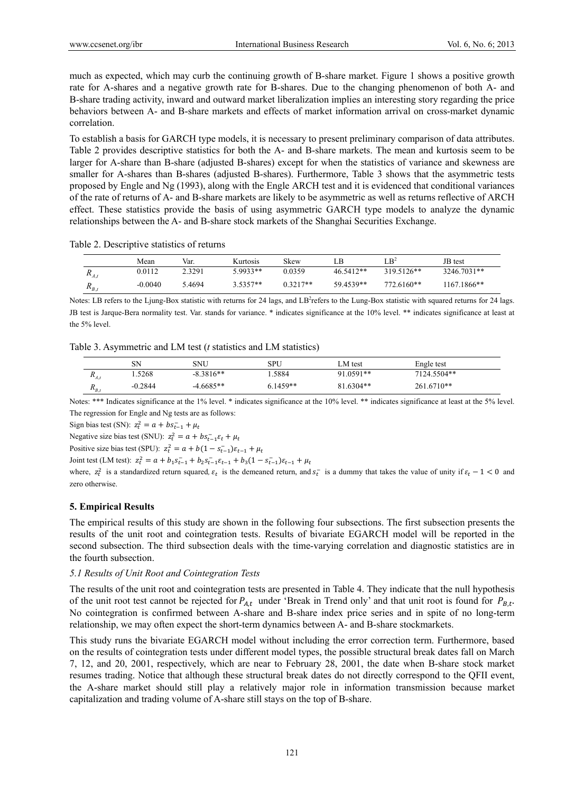much as expected, which may curb the continuing growth of B-share market. Figure 1 shows a positive growth rate for A-shares and a negative growth rate for B-shares. Due to the changing phenomenon of both A- and B-share trading activity, inward and outward market liberalization implies an interesting story regarding the price behaviors between A- and B-share markets and effects of market information arrival on cross-market dynamic correlation.

To establish a basis for GARCH type models, it is necessary to present preliminary comparison of data attributes. Table 2 provides descriptive statistics for both the A- and B-share markets. The mean and kurtosis seem to be larger for A-share than B-share (adjusted B-shares) except for when the statistics of variance and skewness are smaller for A-shares than B-shares (adjusted B-shares). Furthermore, Table 3 shows that the asymmetric tests proposed by Engle and Ng (1993), along with the Engle ARCH test and it is evidenced that conditional variances of the rate of returns of A- and B-share markets are likely to be asymmetric as well as returns reflective of ARCH effect. These statistics provide the basis of using asymmetric GARCH type models to analyze the dynamic relationships between the A- and B-share stock markets of the Shanghai Securities Exchange.

Table 2. Descriptive statistics of returns

|              | Mean    | Var.   | Kurtosis | Skew       | ιB.       | $LB^2$     | JB test     |
|--------------|---------|--------|----------|------------|-----------|------------|-------------|
| $\mathbf{A}$ | 0.0112  | 2.3291 | 5.9933** | 0.0359     | 46.5412** | 319.5126** | 3246.7031** |
| $R_{B,i}$    | -0.0040 | : 4694 | 3.5357** | $0.3217**$ | 59.4539** | 772.6160** | 1167.1866** |

Notes: LB refers to the Ljung-Box statistic with returns for 24 lags, and LB<sup>2</sup>refers to the Lung-Box statistic with squared returns for 24 lags. JB test is Jarque-Bera normality test. Var. stands for variance. \* indicates significance at the 10% level. \*\* indicates significance at least at the 5% level.

Table 3. Asymmetric and LM test (*t* statistics and LM statistics)

|                              | SΝ      | SNU         | SPU      | ∟M test   | Engle test  |
|------------------------------|---------|-------------|----------|-----------|-------------|
| $\mathbf{A}_{\mathcal{A},t}$ | .5268   | $-8.3816**$ | .5884    | 91.0591** | 7124.5504** |
| $\mathbf{u}_{B,i}$           | -0.2844 | $-4.6685**$ | 6.1459** | 81.6304** | 261.6710**  |

Notes: \*\*\* Indicates significance at the 1% level. \* indicates significance at the 10% level. \*\* indicates significance at least at the 5% level. The regression for Engle and Ng tests are as follows:

Sign bias test (SN):  $z_t^2 = a + bs_{t-1}^- + \mu_t$ 

Negative size bias test (SNU):  $z_t^2 = a + bs_{t-1}^2 \varepsilon_t + \mu_t$ 

Positive size bias test (SPU):  $z_t^2 = a + b(1 - s_{t-1})\varepsilon_{t-1} + \mu_t$ 

Joint test (LM test):  $z_t^2 = a + b_1 s_{t-1}^2 + b_2 s_{t-1}^2 \varepsilon_{t-1} + b_3 (1 - s_{t-1}^2) \varepsilon_{t-1} + \mu_t$ 

where,  $z_t^2$  is a standardized return squared,  $\varepsilon_t$  is the demeaned return, and  $s_t^-$  is a dummy that takes the value of unity if  $\varepsilon_t$  - 1 < 0 and zero otherwise.

## **5. Empirical Results**

The empirical results of this study are shown in the following four subsections. The first subsection presents the results of the unit root and cointegration tests. Results of bivariate EGARCH model will be reported in the second subsection. The third subsection deals with the time-varying correlation and diagnostic statistics are in the fourth subsection.

#### *5.1 Results of Unit Root and Cointegration Tests*

The results of the unit root and cointegration tests are presented in Table 4. They indicate that the null hypothesis of the unit root test cannot be rejected for  $P_{A,t}$  under 'Break in Trend only' and that unit root is found for  $P_{B,t}$ . No cointegration is confirmed between A-share and B-share index price series and in spite of no long-term relationship, we may often expect the short-term dynamics between A- and B-share stockmarkets.

This study runs the bivariate EGARCH model without including the error correction term. Furthermore, based on the results of cointegration tests under different model types, the possible structural break dates fall on March 7, 12, and 20, 2001, respectively, which are near to February 28, 2001, the date when B-share stock market resumes trading. Notice that although these structural break dates do not directly correspond to the QFII event, the A-share market should still play a relatively major role in information transmission because market capitalization and trading volume of A-share still stays on the top of B-share.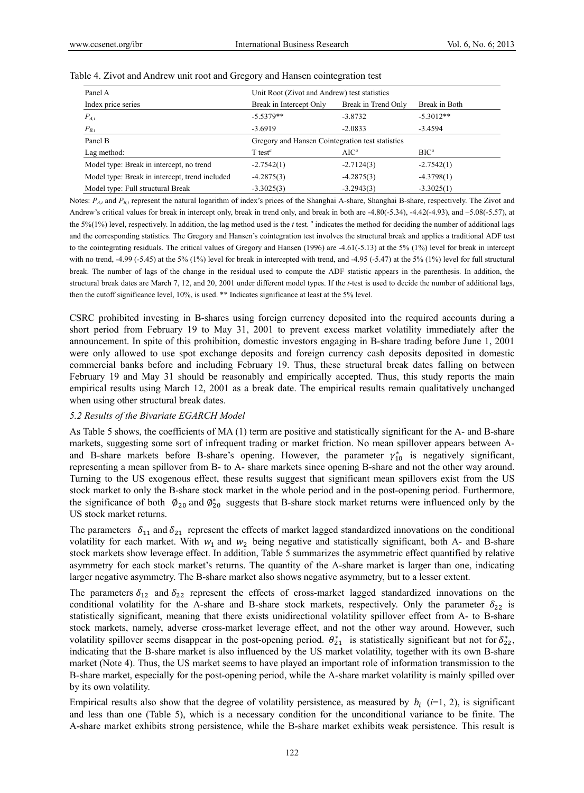| Panel A                                        | Unit Root (Zivot and Andrew) test statistics     |                     |               |  |  |
|------------------------------------------------|--------------------------------------------------|---------------------|---------------|--|--|
| Index price series                             | Break in Intercept Only                          | Break in Trend Only | Break in Both |  |  |
| $P_{A,t}$                                      | $-5.5379**$                                      | $-3.8732$           | $-5.3012**$   |  |  |
| $P_{B,t}$                                      | $-3.6919$                                        | $-2.0833$           | $-3.4594$     |  |  |
| Panel B                                        | Gregory and Hansen Cointegration test statistics |                     |               |  |  |
| Lag method:                                    | $T$ test <sup><math>a</math></sup>               | $AIC^a$             | $BIC^a$       |  |  |
| Model type: Break in intercept, no trend       | $-2.7542(1)$                                     | $-2.7124(3)$        | $-2.7542(1)$  |  |  |
| Model type: Break in intercept, trend included | $-4.2875(3)$                                     | $-4.2875(3)$        | $-4.3798(1)$  |  |  |
| Model type: Full structural Break              | $-3.3025(3)$                                     | $-3.2943(3)$        | $-3.3025(1)$  |  |  |

#### Table 4. Zivot and Andrew unit root and Gregory and Hansen cointegration test

Notes: *P<sub>At</sub>* and *P<sub>Bt</sub>* represent the natural logarithm of index's prices of the Shanghai A-share, Shanghai B-share, respectively. The Zivot and Andrew's critical values for break in intercept only, break in trend only, and break in both are -4.80(-5.34), -4.42(-4.93), and –5.08(-5.57), at the 5%(1%) level, respectively. In addition, the lag method used is the *t* test. *a* indicates the method for deciding the number of additional lags and the corresponding statistics. The Gregory and Hansen's cointegration test involves the structural break and applies a traditional ADF test to the cointegrating residuals. The critical values of Gregory and Hansen (1996) are -4.61(-5.13) at the 5% (1%) level for break in intercept with no trend, -4.99 (-5.45) at the 5% (1%) level for break in intercepted with trend, and -4.95 (-5.47) at the 5% (1%) level for full structural break. The number of lags of the change in the residual used to compute the ADF statistic appears in the parenthesis. In addition, the structural break dates are March 7, 12, and 20, 2001 under different model types. If the *t*-test is used to decide the number of additional lags, then the cutoff significance level, 10%, is used. \*\* Indicates significance at least at the 5% level.

CSRC prohibited investing in B-shares using foreign currency deposited into the required accounts during a short period from February 19 to May 31, 2001 to prevent excess market volatility immediately after the announcement. In spite of this prohibition, domestic investors engaging in B-share trading before June 1, 2001 were only allowed to use spot exchange deposits and foreign currency cash deposits deposited in domestic commercial banks before and including February 19. Thus, these structural break dates falling on between February 19 and May 31 should be reasonably and empirically accepted. Thus, this study reports the main empirical results using March 12, 2001 as a break date. The empirical results remain qualitatively unchanged when using other structural break dates.

#### *5.2 Results of the Bivariate EGARCH Model*

As Table 5 shows, the coefficients of MA (1) term are positive and statistically significant for the A- and B-share markets, suggesting some sort of infrequent trading or market friction. No mean spillover appears between Aand B-share markets before B-share's opening. However, the parameter  $\gamma_{10}^*$  is negatively significant, representing a mean spillover from B- to A- share markets since opening B-share and not the other way around. Turning to the US exogenous effect, these results suggest that significant mean spillovers exist from the US stock market to only the B-share stock market in the whole period and in the post-opening period. Furthermore, the significance of both  $\varphi_{20}$  and  $\varphi_{20}^*$  suggests that B-share stock market returns were influenced only by the US stock market returns.

The parameters  $\delta_{11}$  and  $\delta_{21}$  represent the effects of market lagged standardized innovations on the conditional volatility for each market. With  $w_1$  and  $w_2$  being negative and statistically significant, both A- and B-share stock markets show leverage effect. In addition, Table 5 summarizes the asymmetric effect quantified by relative asymmetry for each stock market's returns. The quantity of the A-share market is larger than one, indicating larger negative asymmetry. The B-share market also shows negative asymmetry, but to a lesser extent.

The parameters  $\delta_{12}$  and  $\delta_{22}$  represent the effects of cross-market lagged standardized innovations on the conditional volatility for the A-share and B-share stock markets, respectively. Only the parameter  $\delta_{22}$  is statistically significant, meaning that there exists unidirectional volatility spillover effect from A- to B-share stock markets, namely, adverse cross-market leverage effect, and not the other way around. However, such volatility spillover seems disappear in the post-opening period.  $\theta_{21}^*$  is statistically significant but not for  $\delta_{22}^*$ , indicating that the B-share market is also influenced by the US market volatility, together with its own B-share market (Note 4). Thus, the US market seems to have played an important role of information transmission to the B-share market, especially for the post-opening period, while the A-share market volatility is mainly spilled over by its own volatility.

Empirical results also show that the degree of volatility persistence, as measured by  $b_i$  ( $i=1, 2$ ), is significant and less than one (Table 5), which is a necessary condition for the unconditional variance to be finite. The A-share market exhibits strong persistence, while the B-share market exhibits weak persistence. This result is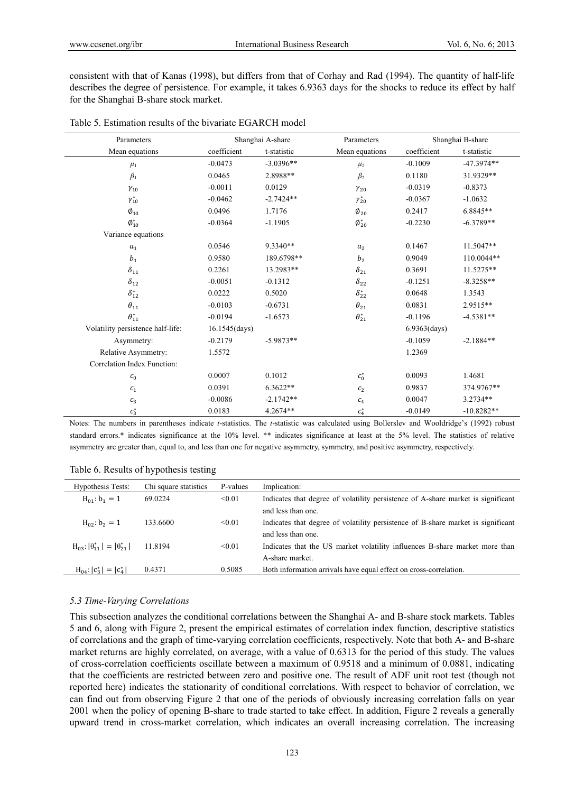consistent with that of Kanas (1998), but differs from that of Corhay and Rad (1994). The quantity of half-life describes the degree of persistence. For example, it takes 6.9363 days for the shocks to reduce its effect by half for the Shanghai B-share stock market.

| Parameters                        |                         | Shanghai A-share | Parameters                      |                          | Shanghai B-share |  |
|-----------------------------------|-------------------------|------------------|---------------------------------|--------------------------|------------------|--|
| Mean equations                    | coefficient             | t-statistic      | Mean equations                  | coefficient              | t-statistic      |  |
| $\mu_1$                           | $-0.0473$               | $-3.0396**$      | $\mu_2$                         | $-0.1009$                | $-47.3974**$     |  |
| $\beta_1$                         | 0.0465                  | 2.8988**         | $\beta_2$                       | 0.1180                   | 31.9329**        |  |
| $\gamma_{10}$                     | $-0.0011$               | 0.0129           | $\gamma_{20}$                   | $-0.0319$                | $-0.8373$        |  |
| $\gamma_{10}^*$                   | $-0.0462$               | $-2.7424**$      | $\gamma_{20}^*$                 | $-0.0367$                | $-1.0632$        |  |
| $\emptyset_{10}$                  | 0.0496                  | 1.7176           | $\boldsymbol{\emptyset}_{20}$   | 0.2417                   | 6.8845**         |  |
| $\boldsymbol{\emptyset}^*_{10}$   | $-0.0364$               | $-1.1905$        | $\boldsymbol{\emptyset}^*_{20}$ | $-0.2230$                | $-6.3789**$      |  |
| Variance equations                |                         |                  |                                 |                          |                  |  |
| $a_{1}$                           | 0.0546                  | 9.3340**         | a <sub>2</sub>                  | 0.1467                   | 11.5047**        |  |
| $b_{\rm 1}$                       | 0.9580                  | 189.6798**       | b <sub>2</sub>                  | 0.9049                   | 110.0044**       |  |
| $\delta_{11}$                     | 0.2261                  | 13.2983**        | $\delta_{21}$                   | 0.3691                   | 11.5275**        |  |
| $\delta_{12}$                     | $-0.0051$               | $-0.1312$        | $\delta_{22}$                   | $-0.1251$                | $-8.3258**$      |  |
| $\delta_{12}^*$                   | 0.0222                  | 0.5020           | $\delta_{22}^*$                 | 0.0648                   | 1.3543           |  |
| $\theta_{11}$                     | $-0.0103$               | $-0.6731$        | $\theta_{21}$                   | 0.0831                   | 2.9515**         |  |
| $\theta_{11}^*$                   | $-0.0194$               | $-1.6573$        | $\theta^*_{21}$                 | $-0.1196$                | $-4.5381**$      |  |
| Volatility persistence half-life: | $16.1545 \text{(days)}$ |                  |                                 | $6.9363$ $\text{(days)}$ |                  |  |
| Asymmetry:                        | $-0.2179$               | $-5.9873**$      |                                 | $-0.1059$                | $-2.1884**$      |  |
| Relative Asymmetry:               | 1.5572                  |                  |                                 | 1.2369                   |                  |  |
| Correlation Index Function:       |                         |                  |                                 |                          |                  |  |
| c <sub>0</sub>                    | 0.0007                  | 0.1012           | $c_0^*$                         | 0.0093                   | 1.4681           |  |
| $\mathcal{C}_1$                   | 0.0391                  | $6.3622**$       | $\boldsymbol{c}_2$              | 0.9837                   | 374.9767**       |  |
| $c_3$                             | $-0.0086$               | $-2.1742**$      | $c_4$                           | 0.0047                   | $3.2734**$       |  |
| $c_3^\ast$                        | 0.0183                  | $4.2674**$       | $c_4^\ast$                      | $-0.0149$                | $-10.8282**$     |  |

|  | Table 5. Estimation results of the bivariate EGARCH model |  |
|--|-----------------------------------------------------------|--|
|--|-----------------------------------------------------------|--|

Notes: The numbers in parentheses indicate *t*-statistics. The *t*-statistic was calculated using Bollerslev and Wooldridge's (1992) robust standard errors.\* indicates significance at the 10% level. \*\* indicates significance at least at the 5% level. The statistics of relative asymmetry are greater than, equal to, and less than one for negative asymmetry, symmetry, and positive asymmetry, respectively.

|  | Table 6. Results of hypothesis testing |  |  |
|--|----------------------------------------|--|--|
|  |                                        |  |  |

| Hypothesis Tests:                           | Chi square statistics | P-values | Implication:                                                                     |
|---------------------------------------------|-----------------------|----------|----------------------------------------------------------------------------------|
| $H_{01}$ : $b_1 = 1$                        | 69.0224               | < 0.01   | Indicates that degree of volatility persistence of A-share market is significant |
|                                             |                       |          | and less than one.                                                               |
| $H_{02}$ : $b_2 = 1$                        | 133.6600              | < 0.01   | Indicates that degree of volatility persistence of B-share market is significant |
|                                             |                       |          | and less than one.                                                               |
| $H_{03}:  \theta_{11}^*  =  \theta_{21}^* $ | 11.8194               | < 0.01   | Indicates that the US market volatility influences B-share market more than      |
|                                             |                       |          | A-share market.                                                                  |
| $H_{04}$ : $ c_3^*  =  c_4^* $              | 0.4371                | 0.5085   | Both information arrivals have equal effect on cross-correlation.                |

# *5.3 Time-Varying Correlations*

This subsection analyzes the conditional correlations between the Shanghai A- and B-share stock markets. Tables 5 and 6, along with Figure 2, present the empirical estimates of correlation index function, descriptive statistics of correlations and the graph of time-varying correlation coefficients, respectively. Note that both A- and B-share market returns are highly correlated, on average, with a value of 0.6313 for the period of this study. The values of cross-correlation coefficients oscillate between a maximum of 0.9518 and a minimum of 0.0881, indicating that the coefficients are restricted between zero and positive one. The result of ADF unit root test (though not reported here) indicates the stationarity of conditional correlations. With respect to behavior of correlation, we can find out from observing Figure 2 that one of the periods of obviously increasing correlation falls on year 2001 when the policy of opening B-share to trade started to take effect. In addition, Figure 2 reveals a generally upward trend in cross-market correlation, which indicates an overall increasing correlation. The increasing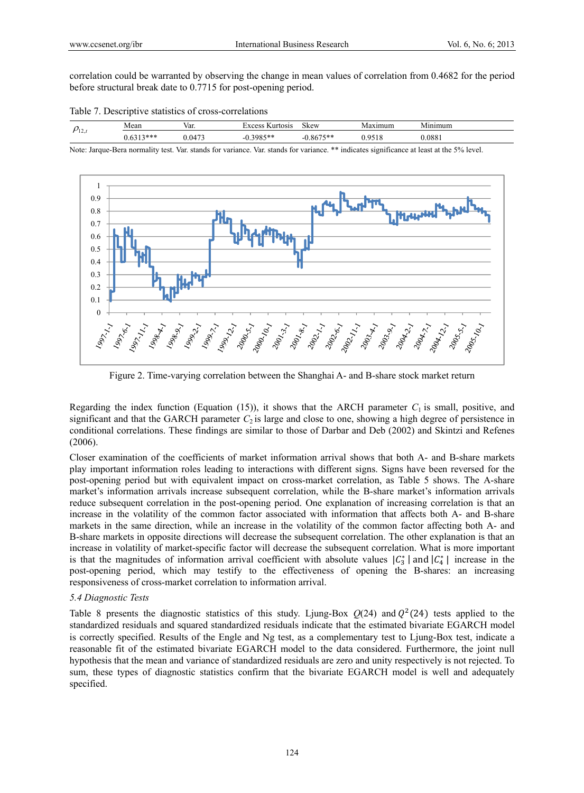correlation could be warranted by observing the change in mean values of correlation from 0.4682 for the period before structural break date to 0.7715 for post-opening period.

| Table 7. Descriptive statistics of cross-correlations |  |
|-------------------------------------------------------|--|
|-------------------------------------------------------|--|

|     | Mean               | - -<br>Var.      | w.<br>urtosis.<br>$\sqrt{V}$ $\Omega$ cc | c.<br><b>Skew</b>                   | aximum<br>-NF | $\sim$ 1<br>umum<br>$- - -$ |
|-----|--------------------|------------------|------------------------------------------|-------------------------------------|---------------|-----------------------------|
| 1/2 | $        -$<br>*** | $4 - 7$<br>1 IZI | $3085**$<br>--<br>ノロー                    | $- - -$ and also<br>531<br>86<br>-- |               | .0881                       |

Note: Jarque-Bera normality test. Var. stands for variance. Var. stands for variance. \*\* indicates significance at least at the 5% level.



Figure 2. Time-varying correlation between the Shanghai A- and B-share stock market return

Regarding the index function (Equation (15)), it shows that the ARCH parameter  $C_1$  is small, positive, and significant and that the GARCH parameter  $C_2$  is large and close to one, showing a high degree of persistence in conditional correlations. These findings are similar to those of Darbar and Deb (2002) and Skintzi and Refenes (2006).

Closer examination of the coefficients of market information arrival shows that both A- and B-share markets play important information roles leading to interactions with different signs. Signs have been reversed for the post-opening period but with equivalent impact on cross-market correlation, as Table 5 shows. The A-share market's information arrivals increase subsequent correlation, while the B-share market's information arrivals reduce subsequent correlation in the post-opening period. One explanation of increasing correlation is that an increase in the volatility of the common factor associated with information that affects both A- and B-share markets in the same direction, while an increase in the volatility of the common factor affecting both A- and B-share markets in opposite directions will decrease the subsequent correlation. The other explanation is that an increase in volatility of market-specific factor will decrease the subsequent correlation. What is more important is that the magnitudes of information arrival coefficient with absolute values  $|C_3^*|$  and  $|C_4^*|$  increase in the post-opening period, which may testify to the effectiveness of opening the B-shares: an increasing responsiveness of cross-market correlation to information arrival.

## *5.4 Diagnostic Tests*

Table 8 presents the diagnostic statistics of this study. Ljung-Box  $O(24)$  and  $O<sup>2</sup>(24)$  tests applied to the standardized residuals and squared standardized residuals indicate that the estimated bivariate EGARCH model is correctly specified. Results of the Engle and Ng test, as a complementary test to Ljung-Box test, indicate a reasonable fit of the estimated bivariate EGARCH model to the data considered. Furthermore, the joint null hypothesis that the mean and variance of standardized residuals are zero and unity respectively is not rejected. To sum, these types of diagnostic statistics confirm that the bivariate EGARCH model is well and adequately specified.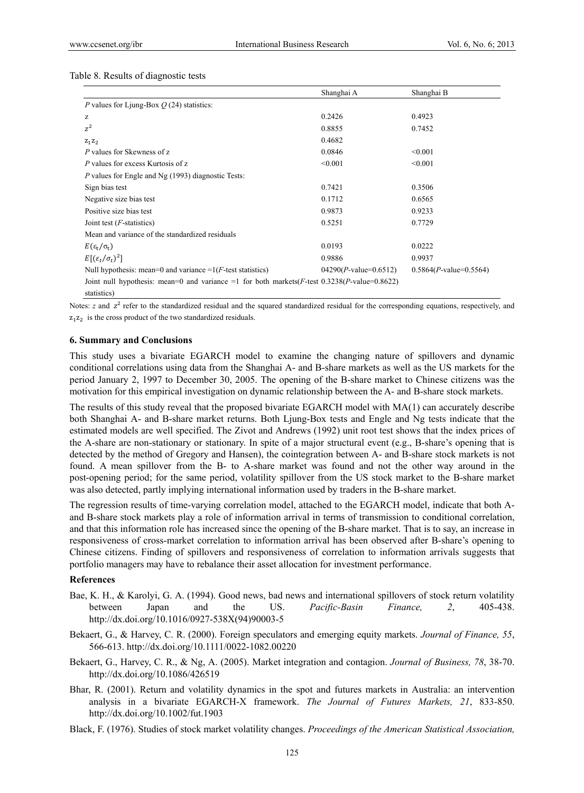|                                                                                                  | Shanghai A              | Shanghai B               |
|--------------------------------------------------------------------------------------------------|-------------------------|--------------------------|
| P values for Ljung-Box $O(24)$ statistics:                                                       |                         |                          |
| z                                                                                                | 0.2426                  | 0.4923                   |
| $z^2$                                                                                            | 0.8855                  | 0.7452                   |
| $Z_1Z_2$                                                                                         | 0.4682                  |                          |
| P values for Skewness of z                                                                       | 0.0846                  | < 0.001                  |
| P values for excess Kurtosis of z                                                                | < 0.001                 | < 0.001                  |
| <i>P</i> values for Engle and Ng (1993) diagnostic Tests:                                        |                         |                          |
| Sign bias test                                                                                   | 0.7421                  | 0.3506                   |
| Negative size bias test                                                                          | 0.1712                  | 0.6565                   |
| Positive size bias test                                                                          | 0.9873                  | 0.9233                   |
| Joint test $(F\text{-statistics})$                                                               | 0.5251                  | 0.7729                   |
| Mean and variance of the standardized residuals                                                  |                         |                          |
| $E(\epsilon_{\rm t}/\sigma_{\rm t})$                                                             | 0.0193                  | 0.0222                   |
| $E[(\varepsilon_t/\sigma_t)^2]$                                                                  | 0.9886                  | 0.9937                   |
| Null hypothesis: mean=0 and variance = $1(F$ -test statistics)                                   | $04290(P-value=0.6512)$ | $0.5864(P-value=0.5564)$ |
| Joint null hypothesis: mean=0 and variance =1 for both markets $(F-test 0.3238 (P-value=0.8622)$ |                         |                          |
| statistics)                                                                                      |                         |                          |

Notes: *z* and  $z^2$  refer to the standardized residual and the squared standardized residual for the corresponding equations, respectively, and  $z_1 z_2$  is the cross product of the two standardized residuals.

#### **6. Summary and Conclusions**

This study uses a bivariate EGARCH model to examine the changing nature of spillovers and dynamic conditional correlations using data from the Shanghai A- and B-share markets as well as the US markets for the period January 2, 1997 to December 30, 2005. The opening of the B-share market to Chinese citizens was the motivation for this empirical investigation on dynamic relationship between the A- and B-share stock markets.

The results of this study reveal that the proposed bivariate EGARCH model with MA(1) can accurately describe both Shanghai A- and B-share market returns. Both Ljung-Box tests and Engle and Ng tests indicate that the estimated models are well specified. The Zivot and Andrews (1992) unit root test shows that the index prices of the A-share are non-stationary or stationary. In spite of a major structural event (e.g., B-share's opening that is detected by the method of Gregory and Hansen), the cointegration between A- and B-share stock markets is not found. A mean spillover from the B- to A-share market was found and not the other way around in the post-opening period; for the same period, volatility spillover from the US stock market to the B-share market was also detected, partly implying international information used by traders in the B-share market.

The regression results of time-varying correlation model, attached to the EGARCH model, indicate that both Aand B-share stock markets play a role of information arrival in terms of transmission to conditional correlation, and that this information role has increased since the opening of the B-share market. That is to say, an increase in responsiveness of cross-market correlation to information arrival has been observed after B-share's opening to Chinese citizens. Finding of spillovers and responsiveness of correlation to information arrivals suggests that portfolio managers may have to rebalance their asset allocation for investment performance.

## **References**

- Bae, K. H., & Karolyi, G. A. (1994). Good news, bad news and international spillovers of stock return volatility between Japan and the US. *Pacific-Basin Finance, 2*, 405-438. http://dx.doi.org/10.1016/0927-538X(94)90003-5
- Bekaert, G., & Harvey, C. R. (2000). Foreign speculators and emerging equity markets. *Journal of Finance, 55*, 566-613. http://dx.doi.org/10.1111/0022-1082.00220
- Bekaert, G., Harvey, C. R., & Ng, A. (2005). Market integration and contagion. *Journal of Business, 78*, 38-70. http://dx.doi.org/10.1086/426519
- Bhar, R. (2001). Return and volatility dynamics in the spot and futures markets in Australia: an intervention analysis in a bivariate EGARCH-X framework. *The Journal of Futures Markets, 21*, 833-850. http://dx.doi.org/10.1002/fut.1903
- Black, F. (1976). Studies of stock market volatility changes. *Proceedings of the American Statistical Association,*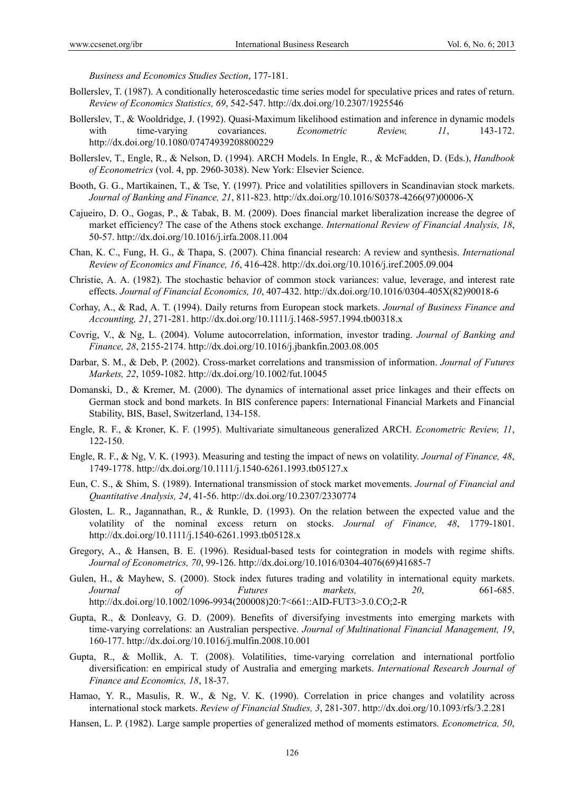*Business and Economics Studies Section*, 177-181.

- Bollerslev, T. (1987). A conditionally heteroscedastic time series model for speculative prices and rates of return. *Review of Economics Statistics, 69*, 542-547. http://dx.doi.org/10.2307/1925546
- Bollerslev, T., & Wooldridge, J. (1992). Quasi-Maximum likelihood estimation and inference in dynamic models with time-varying covariances. *Econometric Review*, *11*, 143-172. http://dx.doi.org/10.1080/07474939208800229
- Bollerslev, T., Engle, R., & Nelson, D. (1994). ARCH Models. In Engle, R., & McFadden, D. (Eds.), *Handbook of Econometrics* (vol. 4, pp. 2960-3038). New York: Elsevier Science.
- Booth, G. G., Martikainen, T., & Tse, Y. (1997). Price and volatilities spillovers in Scandinavian stock markets. *Journal of Banking and Finance, 21*, 811-823. http://dx.doi.org/10.1016/S0378-4266(97)00006-X
- Cajueiro, D. O., Gogas, P., & Tabak, B. M. (2009). Does financial market liberalization increase the degree of market efficiency? The case of the Athens stock exchange. *International Review of Financial Analysis, 18*, 50-57. http://dx.doi.org/10.1016/j.irfa.2008.11.004
- Chan, K. C., Fung, H. G., & Thapa, S. (2007). China financial research: A review and synthesis. *International Review of Economics and Finance, 16*, 416-428. http://dx.doi.org/10.1016/j.iref.2005.09.004
- Christie, A. A. (1982). The stochastic behavior of common stock variances: value, leverage, and interest rate effects. *Journal of Financial Economics, 10*, 407-432. http://dx.doi.org/10.1016/0304-405X(82)90018-6
- Corhay, A., & Rad, A. T. (1994). Daily returns from European stock markets. *Journal of Business Finance and Accounting, 21*, 271-281. http://dx.doi.org/10.1111/j.1468-5957.1994.tb00318.x
- Covrig, V., & Ng, L. (2004). Volume autocorrelation, information, investor trading. *Journal of Banking and Finance, 28*, 2155-2174. http://dx.doi.org/10.1016/j.jbankfin.2003.08.005
- Darbar, S. M., & Deb, P. (2002). Cross-market correlations and transmission of information. *Journal of Futures Markets, 22*, 1059-1082. http://dx.doi.org/10.1002/fut.10045
- Domanski, D., & Kremer, M. (2000). The dynamics of international asset price linkages and their effects on German stock and bond markets. In BIS conference papers: International Financial Markets and Financial Stability, BIS, Basel, Switzerland, 134-158.
- Engle, R. F., & Kroner, K. F. (1995). Multivariate simultaneous generalized ARCH. *Econometric Review, 11*, 122-150.
- Engle, R. F., & Ng, V. K. (1993). Measuring and testing the impact of news on volatility. *Journal of Finance, 48*, 1749-1778. http://dx.doi.org/10.1111/j.1540-6261.1993.tb05127.x
- Eun, C. S., & Shim, S. (1989). International transmission of stock market movements. *Journal of Financial and Quantitative Analysis, 24*, 41-56. http://dx.doi.org/10.2307/2330774
- Glosten, L. R., Jagannathan, R., & Runkle, D. (1993). On the relation between the expected value and the volatility of the nominal excess return on stocks. *Journal of Finance, 48*, 1779-1801. http://dx.doi.org/10.1111/j.1540-6261.1993.tb05128.x
- Gregory, A., & Hansen, B. E. (1996). Residual-based tests for cointegration in models with regime shifts. *Journal of Econometrics, 70*, 99-126. http://dx.doi.org/10.1016/0304-4076(69)41685-7
- Gulen, H., & Mayhew, S. (2000). Stock index futures trading and volatility in international equity markets. *Journal of Futures markets, 20*, 661-685. http://dx.doi.org/10.1002/1096-9934(200008)20:7<661::AID-FUT3>3.0.CO;2-R
- Gupta, R., & Donleavy, G. D. (2009). Benefits of diversifying investments into emerging markets with time-varying correlations: an Australian perspective. *Journal of Multinational Financial Management, 19*, 160-177. http://dx.doi.org/10.1016/j.mulfin.2008.10.001
- Gupta, R., & Mollik, A. T. (2008). Volatilities, time-varying correlation and international portfolio diversification: en empirical study of Australia and emerging markets. *International Research Journal of Finance and Economics, 18*, 18-37.
- Hamao, Y. R., Masulis, R. W., & Ng, V. K. (1990). Correlation in price changes and volatility across international stock markets. *Review of Financial Studies, 3*, 281-307. http://dx.doi.org/10.1093/rfs/3.2.281
- Hansen, L. P. (1982). Large sample properties of generalized method of moments estimators. *Econometrica, 50*,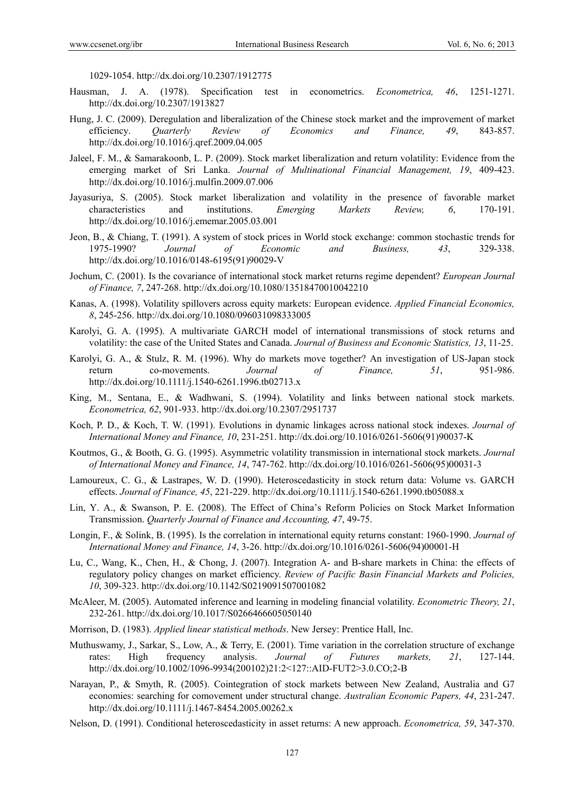1029-1054. http://dx.doi.org/10.2307/1912775

- Hausman, J. A. (1978). Specification test in econometrics. *Econometrica, 46*, 1251-1271. http://dx.doi.org/10.2307/1913827
- Hung, J. C. (2009). Deregulation and liberalization of the Chinese stock market and the improvement of market efficiency. *Quarterly Review of Economics and Finance, 49*, 843-857. http://dx.doi.org/10.1016/j.qref.2009.04.005
- Jaleel, F. M., & Samarakoonb, L. P. (2009). Stock market liberalization and return volatility: Evidence from the emerging market of Sri Lanka. *Journal of Multinational Financial Management, 19*, 409-423. http://dx.doi.org/10.1016/j.mulfin.2009.07.006
- Jayasuriya, S. (2005). Stock market liberalization and volatility in the presence of favorable market characteristics and institutions. *Emerging Markets Review, 6*, 170-191. http://dx.doi.org/10.1016/j.ememar.2005.03.001
- Jeon, B., & Chiang, T. (1991). A system of stock prices in World stock exchange: common stochastic trends for 1975-1990? *Journal of Economic and Business, 43*, 329-338. http://dx.doi.org/10.1016/0148-6195(91)90029-V
- Jochum, C. (2001). Is the covariance of international stock market returns regime dependent? *European Journal of Finance, 7*, 247-268. http://dx.doi.org/10.1080/13518470010042210
- Kanas, A. (1998). Volatility spillovers across equity markets: European evidence. *Applied Financial Economics, 8*, 245-256. http://dx.doi.org/10.1080/096031098333005
- Karolyi, G. A. (1995). A multivariate GARCH model of international transmissions of stock returns and volatility: the case of the United States and Canada. *Journal of Business and Economic Statistics, 13*, 11-25.
- Karolyi, G. A., & Stulz, R. M. (1996). Why do markets move together? An investigation of US-Japan stock return co-movements. *Journal of Finance, 51*, 951-986. http://dx.doi.org/10.1111/j.1540-6261.1996.tb02713.x
- King, M., Sentana, E., & Wadhwani, S. (1994). Volatility and links between national stock markets. *Econometrica, 62*, 901-933. http://dx.doi.org/10.2307/2951737
- Koch, P. D., & Koch, T. W. (1991). Evolutions in dynamic linkages across national stock indexes. *Journal of International Money and Finance, 10*, 231-251. http://dx.doi.org/10.1016/0261-5606(91)90037-K
- Koutmos, G., & Booth, G. G. (1995). Asymmetric volatility transmission in international stock markets. *Journal of International Money and Finance, 14*, 747-762. http://dx.doi.org/10.1016/0261-5606(95)00031-3
- Lamoureux, C. G., & Lastrapes, W. D. (1990). Heteroscedasticity in stock return data: Volume vs. GARCH effects. *Journal of Finance, 45*, 221-229. http://dx.doi.org/10.1111/j.1540-6261.1990.tb05088.x
- Lin, Y. A., & Swanson, P. E. (2008). The Effect of China's Reform Policies on Stock Market Information Transmission. *Quarterly Journal of Finance and Accounting, 47*, 49-75.
- Longin, F., & Solink, B. (1995). Is the correlation in international equity returns constant: 1960-1990. *Journal of International Money and Finance, 14*, 3-26. http://dx.doi.org/10.1016/0261-5606(94)00001-H
- Lu, C., Wang, K., Chen, H., & Chong, J. (2007). Integration A- and B-share markets in China: the effects of regulatory policy changes on market efficiency. *Review of Pacific Basin Financial Markets and Policies, 10*, 309-323. http://dx.doi.org/10.1142/S0219091507001082
- McAleer, M. (2005). Automated inference and learning in modeling financial volatility. *Econometric Theory, 21*, 232-261. http://dx.doi.org/10.1017/S0266466605050140
- Morrison, D. (1983). *Applied linear statistical methods*. New Jersey: Prentice Hall, Inc.
- Muthuswamy, J., Sarkar, S., Low, A., & Terry, E. (2001). Time variation in the correlation structure of exchange rates: High frequency analysis. *Journal of Futures markets, 21*, 127-144. http://dx.doi.org/10.1002/1096-9934(200102)21:2<127::AID-FUT2>3.0.CO;2-B
- Narayan, P., & Smyth, R. (2005). Cointegration of stock markets between New Zealand, Australia and G7 economies: searching for comovement under structural change. *Australian Economic Papers, 44*, 231-247. http://dx.doi.org/10.1111/j.1467-8454.2005.00262.x
- Nelson, D. (1991). Conditional heteroscedasticity in asset returns: A new approach. *Econometrica, 59*, 347-370.